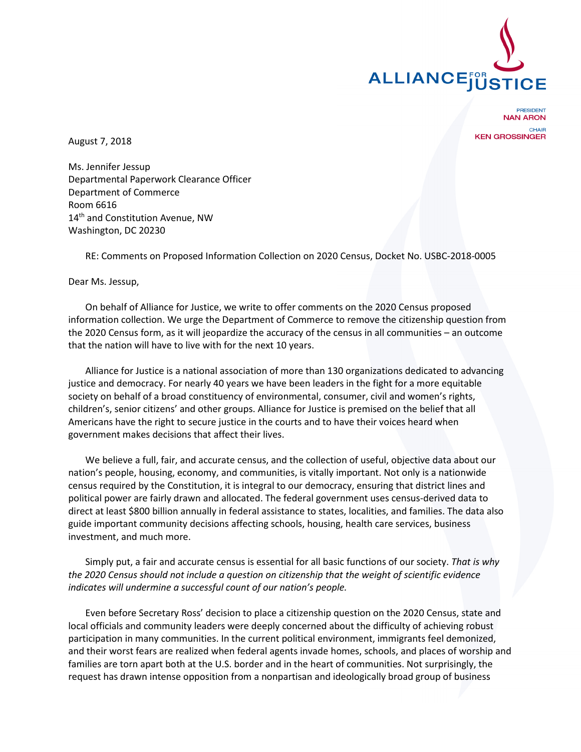

**PRESIDENT NAN ARON** CHAIR **KEN GROSSINGER** 

August 7, 2018

Ms. Jennifer Jessup Departmental Paperwork Clearance Officer Department of Commerce Room 6616 14<sup>th</sup> and Constitution Avenue, NW Washington, DC 20230

RE: Comments on Proposed Information Collection on 2020 Census, Docket No. USBC-2018-0005

Dear Ms. Jessup,

On behalf of Alliance for Justice, we write to offer comments on the 2020 Census proposed information collection. We urge the Department of Commerce to remove the citizenship question from the 2020 Census form, as it will jeopardize the accuracy of the census in all communities – an outcome that the nation will have to live with for the next 10 years.

Alliance for Justice is a national association of more than 130 organizations dedicated to advancing justice and democracy. For nearly 40 years we have been leaders in the fight for a more equitable society on behalf of a broad constituency of environmental, consumer, civil and women's rights, children's, senior citizens' and other groups. Alliance for Justice is premised on the belief that all Americans have the right to secure justice in the courts and to have their voices heard when government makes decisions that affect their lives.

We believe a full, fair, and accurate census, and the collection of useful, objective data about our nation's people, housing, economy, and communities, is vitally important. Not only is a nationwide census required by the Constitution, it is integral to our democracy, ensuring that district lines and political power are fairly drawn and allocated. The federal government uses census-derived data to direct at least \$800 billion annually in federal assistance to states, localities, and families. The data also guide important community decisions affecting schools, housing, health care services, business investment, and much more.

Simply put, a fair and accurate census is essential for all basic functions of our society. *That is why the 2020 Census should not include a question on citizenship that the weight of scientific evidence indicates will undermine a successful count of our nation's people.*

Even before Secretary Ross' decision to place a citizenship question on the 2020 Census, state and local officials and community leaders were deeply concerned about the difficulty of achieving robust participation in many communities. In the current political environment, immigrants feel demonized, and their worst fears are realized when federal agents invade homes, schools, and places of worship and families are torn apart both at the U.S. border and in the heart of communities. Not surprisingly, the request has drawn intense opposition from a nonpartisan and ideologically broad group of business